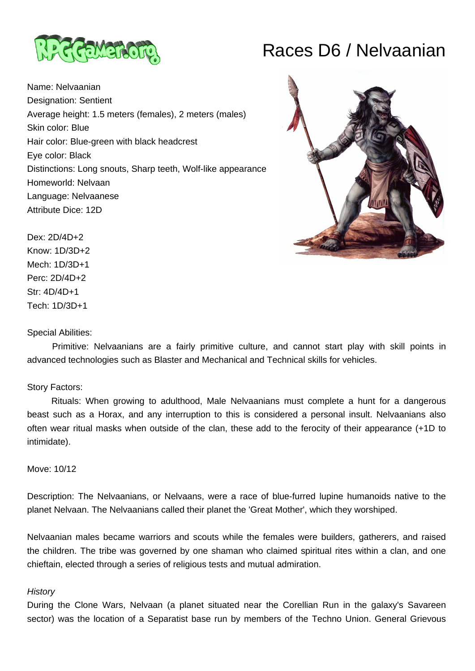

## Races D6 / Nelvaanian

Name: Nelvaanian Designation: Sentient Average height: 1.5 meters (females), 2 meters (males) Skin color: Blue Hair color: Blue-green with black headcrest Eye color: Black Distinctions: Long snouts, Sharp teeth, Wolf-like appearance Homeworld: Nelvaan Language: Nelvaanese Attribute Dice: 12D



Dex: 2D/4D+2 Know: 1D/3D+2 Mech: 1D/3D+1 Perc: 2D/4D+2 Str: 4D/4D+1 Tech: 1D/3D+1

## Special Abilities:

 Primitive: Nelvaanians are a fairly primitive culture, and cannot start play with skill points in advanced technologies such as Blaster and Mechanical and Technical skills for vehicles.

## Story Factors:

 Rituals: When growing to adulthood, Male Nelvaanians must complete a hunt for a dangerous beast such as a Horax, and any interruption to this is considered a personal insult. Nelvaanians also often wear ritual masks when outside of the clan, these add to the ferocity of their appearance (+1D to intimidate).

Move: 10/12

Description: The Nelvaanians, or Nelvaans, were a race of blue-furred lupine humanoids native to the planet Nelvaan. The Nelvaanians called their planet the 'Great Mother', which they worshiped.

Nelvaanian males became warriors and scouts while the females were builders, gatherers, and raised the children. The tribe was governed by one shaman who claimed spiritual rites within a clan, and one chieftain, elected through a series of religious tests and mutual admiration.

## **History**

During the Clone Wars, Nelvaan (a planet situated near the Corellian Run in the galaxy's Savareen sector) was the location of a Separatist base run by members of the Techno Union. General Grievous